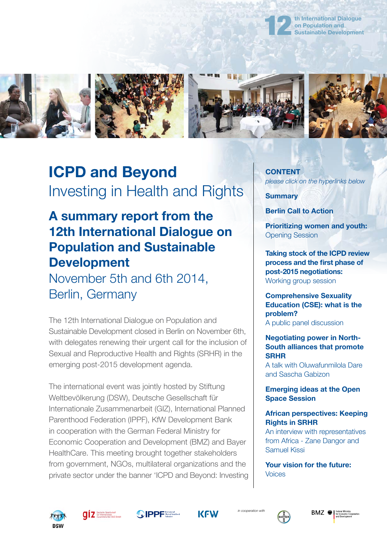

**th International Dialogue on Population and [Sustainable Development](http://www.dialogue-population-development.info/)**



# **ICPD and Beyond** Investing in Health and Rights

### **A summary report from the 12th International Dialogue on Population and Sustainable Development**

November 5th and 6th 2014, Berlin, Germany

The 12th International Dialogue on Population and Sustainable Development closed in Berlin on November 6th, with delegates renewing their urgent call for the inclusion of Sexual and Reproductive Health and Rights (SRHR) in the emerging post-2015 development agenda.

The international event was jointly hosted by Stiftung Weltbevölkerung (DSW), Deutsche Gesellschaft für Internationale Zusammenarbeit (GIZ), International Planned Parenthood Federation (IPPF), KfW Development Bank in cooperation with the German Federal Ministry for Economic Cooperation and Development (BMZ) and Bayer HealthCare. This meeting brought together stakeholders from government, NGOs, multilateral organizations and the private sector under the banner 'ICPD and Beyond: Investing

**[CONTENT](http://12th.dialogue-population-development.info/)** *please click on the hyperlinks below*

**[Summary](http://12th.dialogue-population-development.info/)**

**[Berlin Call to Action](http://12th.dialogue-population-development.info/topics/berlin_call_to_action/)**

**[Prioritizing women and youth:](http://12th.dialogue-population-development.info/topics/prioritizing_women_and_youth/)** Opening Session

**[Taking stock of the ICPD review](http://12th.dialogue-population-development.info/topics/working-group-session/) process and the first phase of post-2015 negotiations:** Working group session

**Comprehensive Sexuality [Education \(CSE\): what is the](http://12th.dialogue-population-development.info/topics/comprehensive_sexuality_education-cse-what_is_the_problem/) problem?** A public panel discussion

#### **Negotiating power in North-[South alliances that promote](http://12th.dialogue-population-development.info/topics/negotiating_power_in_north-south_alliances_that_promote_srhr/) SRHR**

A talk with Oluwafunmilola Dare and Sascha Gabizon

#### **[Emerging ideas at the Open](http://12th.dialogue-population-development.info/topics/emerging_ideas_at_the_open_space_session/)  Space Session**

#### **[African perspectives: Keeping](http://12th.dialogue-population-development.info/topics/african_perspectives-keeping_rights_in_srhr/) Rights in SRHR**

An interview with representatives from Africa - Zane Dangor and Samuel Kissi

**[Your vision for the future:](http://12th.dialogue-population-development.info/topics/voices-your_vision_for_the_future/)**  Voices









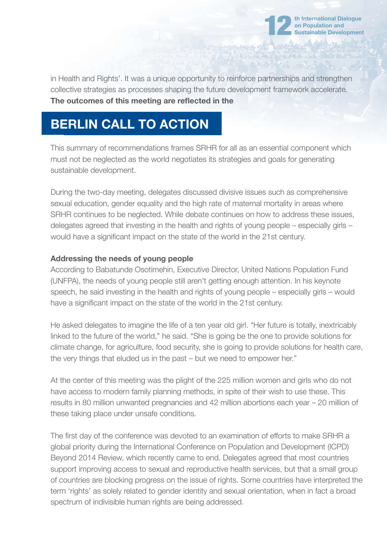

in Health and Rights'. It was a unique opportunity to reinforce partnerships and strengthen collective strategies as processes shaping the future development framework accelerate. The outcomes of this meeting are reflected in the

## **BERLIN CALL TO ACTION**

This summary of recommendations frames SRHR for all as an essential component which must not be neglected as the world negotiates its strategies and goals for generating sustainable development.

During the two-day meeting, delegates discussed divisive issues such as comprehensive sexual education, gender equality and the high rate of maternal mortality in areas where SRHR continues to be neglected. While debate continues on how to address these issues, delegates agreed that investing in the health and rights of young people – especially girls – would have a significant impact on the state of the world in the 21st century.

#### **Addressing the needs of young people**

According to Babatunde Osotimehin, Executive Director, United Nations Population Fund (UNFPA), the needs of young people still aren't getting enough attention. In his keynote speech, he said investing in the health and rights of young people – especially girls – would have a significant impact on the state of the world in the 21st century.

He asked delegates to imagine the life of a ten year old girl. "Her future is totally, inextricably linked to the future of the world," he said. "She is going be the one to provide solutions for climate change, for agriculture, food security, she is going to provide solutions for health care, the very things that eluded us in the past – but we need to empower her."

At the center of this meeting was the plight of the 225 million women and girls who do not have access to modern family planning methods, in spite of their wish to use these. This results in 80 million unwanted pregnancies and 42 million abortions each year – 20 million of these taking place under unsafe conditions.

The first day of the conference was devoted to an examination of efforts to make SRHR a global priority during the International Conference on Population and Development (ICPD) Beyond 2014 Review, which recently came to end. Delegates agreed that most countries support improving access to sexual and reproductive health services, but that a small group of countries are blocking progress on the issue of rights. Some countries have interpreted the term 'rights' as solely related to gender identity and sexual orientation, when in fact a broad spectrum of indivisible human rights are being addressed.